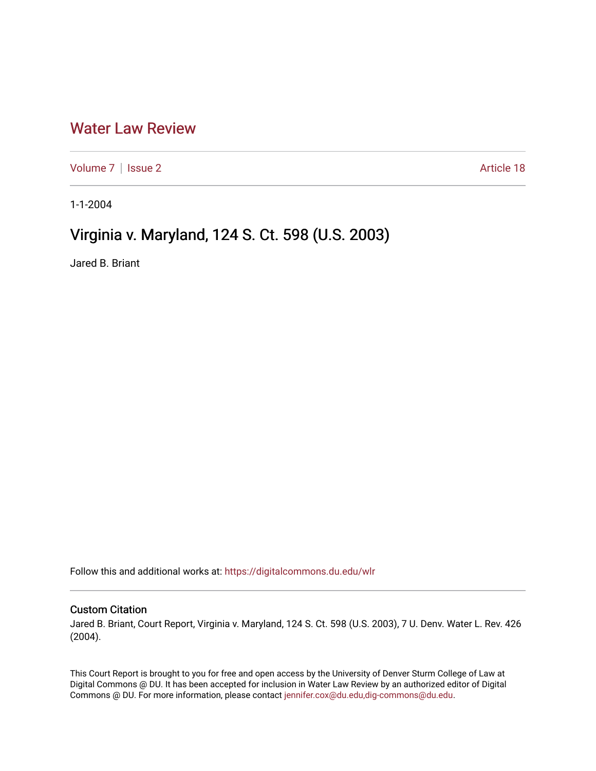## [Water Law Review](https://digitalcommons.du.edu/wlr)

[Volume 7](https://digitalcommons.du.edu/wlr/vol7) | [Issue 2](https://digitalcommons.du.edu/wlr/vol7/iss2) Article 18

1-1-2004

## Virginia v. Maryland, 124 S. Ct. 598 (U.S. 2003)

Jared B. Briant

Follow this and additional works at: [https://digitalcommons.du.edu/wlr](https://digitalcommons.du.edu/wlr?utm_source=digitalcommons.du.edu%2Fwlr%2Fvol7%2Fiss2%2F18&utm_medium=PDF&utm_campaign=PDFCoverPages) 

## Custom Citation

Jared B. Briant, Court Report, Virginia v. Maryland, 124 S. Ct. 598 (U.S. 2003), 7 U. Denv. Water L. Rev. 426 (2004).

This Court Report is brought to you for free and open access by the University of Denver Sturm College of Law at Digital Commons @ DU. It has been accepted for inclusion in Water Law Review by an authorized editor of Digital Commons @ DU. For more information, please contact [jennifer.cox@du.edu,dig-commons@du.edu.](mailto:jennifer.cox@du.edu,dig-commons@du.edu)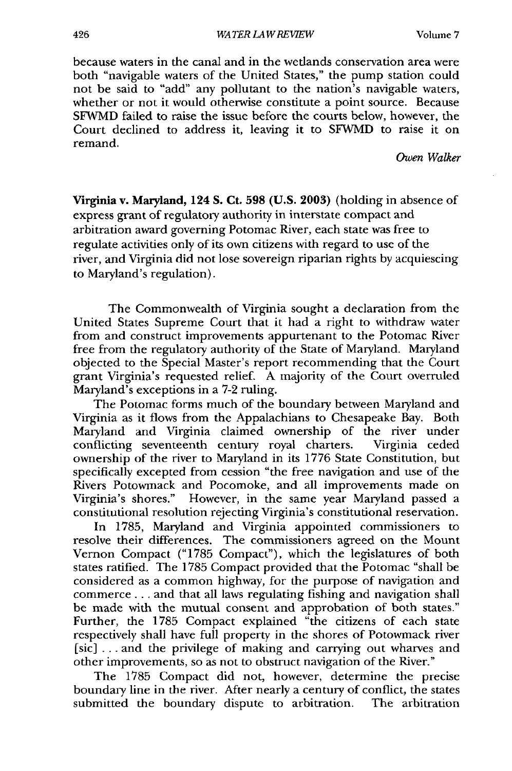because waters in the canal and in the wetlands conservation area were both "navigable waters of the United States," the pump station could not be said to "add" any pollutant to the nation's navigable waters, whether or not it would otherwise constitute a point source. Because SFWMD failed to raise the issue before the courts below, however, the Court declined to address it, leaving it to SFWMD to raise it on remand.

*Owen Walker*

Virginia v. Maryland, **124 S.** Ct. **598 (U.S. 2003)** (holding in absence of express grant of regulatory authority in interstate compact and arbitration award governing Potomac River, each state was free to regulate activities only of its own citizens with regard to use of the river, and Virginia did not lose sovereign riparian rights by acquiescing to Maryland's regulation).

The Commonwealth of Virginia sought a declaration from the United States Supreme Court that it had a right to withdraw water from and construct improvements appurtenant to the Potomac River free from the regulatory authority of the State of Maryland. Maryland objected to the Special Master's report recommending that the Court grant Virginia's requested relief. A majority of the Court overruled Maryland's exceptions in a 7-2 ruling.

The Potomac forms much of the boundary between Maryland and Virginia as it flows from the Appalachians to Chesapeake Bay. Both Maryland and Virginia claimed ownership of the river under conflicting seventeenth century royal charters. Virginia ceded ownership of the river to Maryland in its 1776 State Constitution, but specifically excepted from cession "the free navigation and use of the Rivers Potowmack and Pocomoke, and all improvements made on Virginia's shores." However, in the same year Maryland passed a constitutional resolution rejecting Virginia's constitutional reservation.

In 1785, Maryland and Virginia appointed commissioners to resolve their differences. The commissioners agreed on the Mount Vernon Compact ("1785 Compact"), which the legislatures of both states ratified. The 1785 Compact provided that the Potomac "shall be considered as a common highway, for the purpose of navigation and commerce.., and that all laws regulating fishing and navigation shall be made with the mutual consent and approbation of both states." Further, the 1785 Compact explained "the citizens of each state respectively shall have full property in the shores of Potowmack river [sic] ... and the privilege of making and carrying out wharves and other improvements, so as not to obstruct navigation of the River."

The 1785 Compact did not, however, determine the precise boundary line in the river. After nearly a century of conflict, the states submitted the boundary dispute to arbitration. The arbitration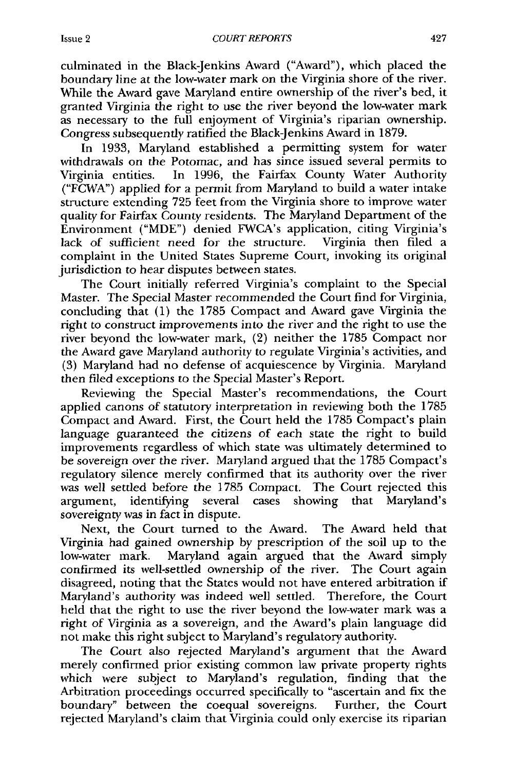culminated in the Black-Jenkins Award ("Award"), which placed the boundary line at the low-water mark on the Virginia shore of the river. While the Award gave Maryland entire ownership of the river's bed, it granted Virginia the right to use the river beyond the low-water mark as necessary to the full enjoyment of Virginia's riparian ownership. Congress subsequently ratified the Black-Jenkins Award in 1879.

In 1933, Maryland established a permitting system for water withdrawals on the Potomac, and has since issued several permits to Virginia entities. In 1996, the Fairfax County Water Authority ("FCWA") applied for a permit from Maryland to build a water intake structure extending 725 feet from the Virginia shore to improve water quality for Fairfax County residents. The Maryland Department of the Environment ("MDE") denied FWCA's application, citing Virginia's lack of sufficient need for the structure. Virginia then filed a complaint in the United States Supreme Court, invoking its original jurisdiction to hear disputes between states.

The Court initially referred Virginia's complaint to the Special Master. The Special Master recommended the Court find for Virginia, concluding that (1) the 1785 Compact and Award gave Virginia the right to construct improvements into the river and the right to use the river beyond the low-water mark, (2) neither the 1785 Compact nor the Award gave Maryland authority to regulate Virginia's activities, and (3) Maryland had no defense of acquiescence by Virginia. Maryland then filed exceptions to the Special Master's Report.

Reviewing the Special Master's recommendations, the Court applied canons of statutory interpretation in reviewing both the 1785 Compact and Award. First, the Court held the 1785 Compact's plain language guaranteed the citizens of each state the right to build improvements regardless of which state was ultimately determined to be sovereign over the river. Maryland argued that the 1785 Compact's regulatory silence merely confirmed that its authority over the river was well settled before the 1785 Compact. The Court rejected this argument, identifying several cases showing that Maryland's sovereignty was in fact in dispute.

Next, the Court turned to the Award. The Award held that Virginia had gained ownership by prescription of the soil up to the low-water mark. Maryland again argued that the Award simply confirmed its well-settled ownership of the river. The Court again disagreed, noting that the States would not have entered arbitration if Maryland's authority was indeed well settled. Therefore, the Court held that the right to use the river beyond the low-water mark was a right of Virginia as a sovereign, and the Award's plain language did not make this right subject to Maryland's regulatory authority.

The Court also rejected Maryland's argument that the Award merely confirmed prior existing common law private property rights which were subject to Maryland's regulation, finding that the Arbitration proceedings occurred specifically to "ascertain and fix the boundary" between the coequal sovereigns. Further, the Court rejected Maryland's claim that Virginia could only exercise its riparian